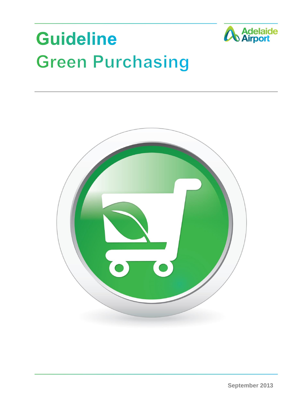# **Guideline Green Purchasing**



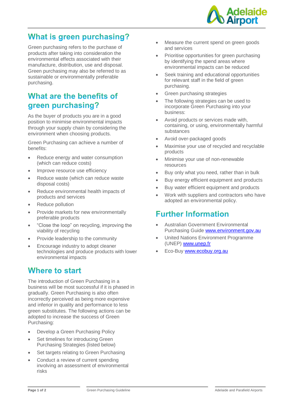

# **What is green purchasing?**

Green purchasing refers to the purchase of products after taking into consideration the environmental effects associated with their manufacture, distribution, use and disposal. Green purchasing may also be referred to as sustainable or environmentally preferable purchasing.

## What are the benefits of green purchasing?

As the buyer of products you are in a good position to minimise environmental impacts through your supply chain by considering the environment when choosing products.

Green Purchasing can achieve a number of benefits:

- Reduce energy and water consumption (which can reduce costs)
- Improve resource use efficiency
- Reduce waste (which can reduce waste disposal costs)
- Reduce environmental health impacts of products and services
- Reduce pollution
- Provide markets for new environmentally preferable products
- "Close the loop" on recycling, improving the viability of recycling
- Provide leadership to the community
- Encourage industry to adopt cleaner technologies and produce products with lower environmental impacts

### Where to start

The introduction of Green Purchasing in a business will be most successful if it is phased in gradually. Green Purchasing is also often incorrectly perceived as being more expensive and inferior in quality and performance to less green substitutes. The following actions can be adopted to increase the success of Green Purchasing:

- Develop a Green Purchasing Policy
- Set timelines for introducing Green Purchasing Strategies (listed below)
- Set targets relating to Green Purchasing
- Conduct a review of current spending involving an assessment of environmental risks
- Measure the current spend on green goods and services
- Prioritise opportunities for green purchasing by identifying the spend areas where environmental impacts can be reduced
- Seek training and educational opportunities for relevant staff in the field of green purchasing.
- Green purchasing strategies
- The following strategies can be used to incorporate Green Purchasing into your business:
- Avoid products or services made with, containing, or using, environmentally harmful substances
- Avoid over-packaged goods
- Maximise your use of recycled and recyclable products
- Minimise your use of non-renewable resources
- Buy only what you need, rather than in bulk
- Buy energy efficient equipment and products
- Buy water efficient equipment and products
- Work with suppliers and contractors who have adopted an environmental policy.

### **Further Information**

- Australian Government Environmental Purchasing Guid[e www.environment.gov.au](http://www.environment.gov.au/)
- United Nations Environment Programme (UNEP[\) www.unep.fr](http://www.unep.fr/)
- Eco-Buy [www.ecobuy.org.au](http://www.ecobuy.org.au/)